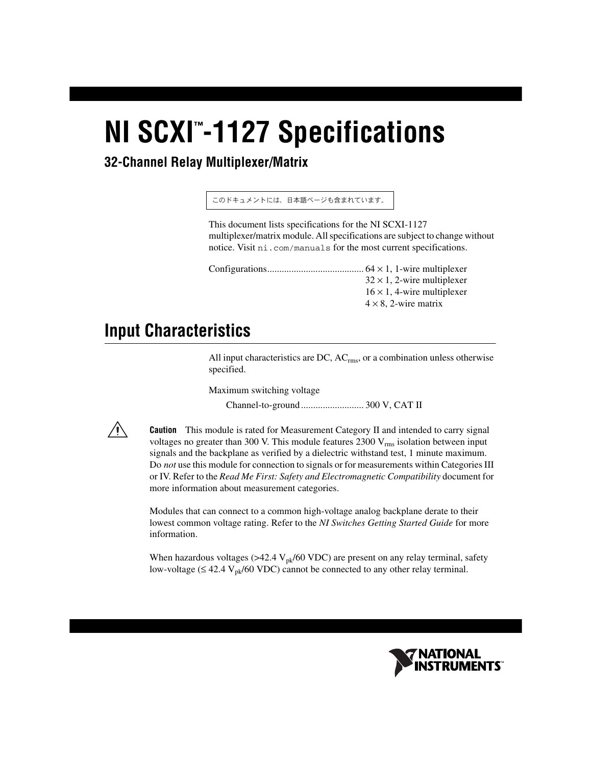# **NI SCXI<sup>™</sup>-1127 Specifications**

## **32-Channel Relay Multiplexer/Matrix**

このドキュメントには、日本語ページも含まれています。

This document lists specifications for the NI SCXI-1127 multiplexer/matrix module. All specifications are subject to change without notice. Visit ni.com/manuals for the most current specifications.

Configurations........................................ 64 × 1, 1-wire multiplexer  $32 \times 1$ , 2-wire multiplexer  $16 \times 1$ , 4-wire multiplexer  $4 \times 8$ , 2-wire matrix

# **Input Characteristics**

All input characteristics are DC,  $AC_{rms}$ , or a combination unless otherwise specified.

Maximum switching voltage Channel-to-ground .......................... 300 V, CAT II



**Caution** This module is rated for Measurement Category II and intended to carry signal voltages no greater than 300 V. This module features  $2300 \text{ V}_{\text{rms}}$  isolation between input signals and the backplane as verified by a dielectric withstand test, 1 minute maximum. Do *not* use this module for connection to signals or for measurements within Categories III or IV. Refer to the *Read Me First: Safety and Electromagnetic Compatibility* document for more information about measurement categories.

Modules that can connect to a common high-voltage analog backplane derate to their lowest common voltage rating. Refer to the *NI Switches Getting Started Guide* for more information.

When hazardous voltages ( $>42.4$  V<sub>pk</sub>/60 VDC) are present on any relay terminal, safety low-voltage ( $\leq 42.4$  V<sub>pk</sub>/60 VDC) cannot be connected to any other relay terminal.

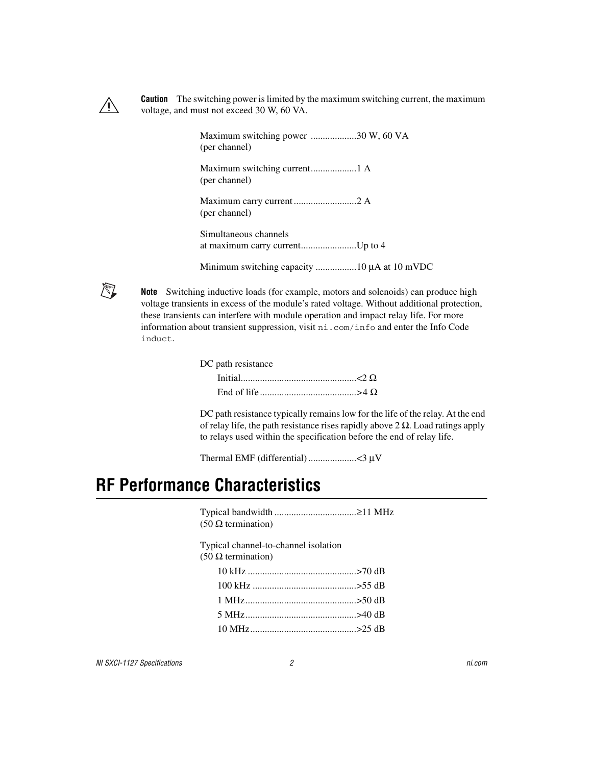

**Caution** The switching power is limited by the maximum switching current, the maximum voltage, and must not exceed 30 W, 60 VA.

> Maximum switching power ...................30 W, 60 VA (per channel) Maximum switching current...................1 A (per channel) Maximum carry current ..........................2 A (per channel) Simultaneous channels at maximum carry current.......................Up to 4 Minimum switching capacity .................10 μA at 10 mVDC



**Note** Switching inductive loads (for example, motors and solenoids) can produce high voltage transients in excess of the module's rated voltage. Without additional protection, these transients can interfere with module operation and impact relay life. For more information about transient suppression, visit ni.com/info and enter the Info Code induct.

| DC path resistance |  |
|--------------------|--|
|                    |  |
|                    |  |

DC path resistance typically remains low for the life of the relay. At the end of relay life, the path resistance rises rapidly above  $2 \Omega$ . Load ratings apply to relays used within the specification before the end of relay life.

Thermal EMF (differential) ....................<3 μV

# **RF Performance Characteristics**

Typical bandwidth ..................................≥11 MHz (50 Ω termination)

Typical channel-to-channel isolation

(50 Ω termination)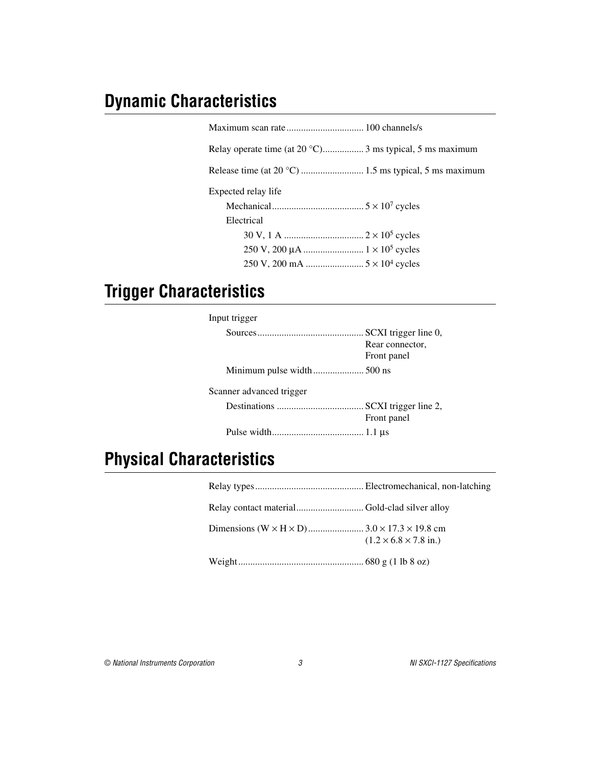# **Dynamic Characteristics**

| Relay operate time (at $20^{\circ}$ C) 3 ms typical, 5 ms maximum |
|-------------------------------------------------------------------|
|                                                                   |
| Expected relay life                                               |
|                                                                   |
| Electrical                                                        |
|                                                                   |
|                                                                   |
|                                                                   |
|                                                                   |

# **Trigger Characteristics**

| Input trigger            |                 |
|--------------------------|-----------------|
|                          | Rear connector, |
|                          | Front panel     |
|                          |                 |
| Scanner advanced trigger |                 |
|                          | Front panel     |
|                          |                 |

# **Physical Characteristics**

| $(1.2 \times 6.8 \times 7.8 \text{ in.})$ |
|-------------------------------------------|
|                                           |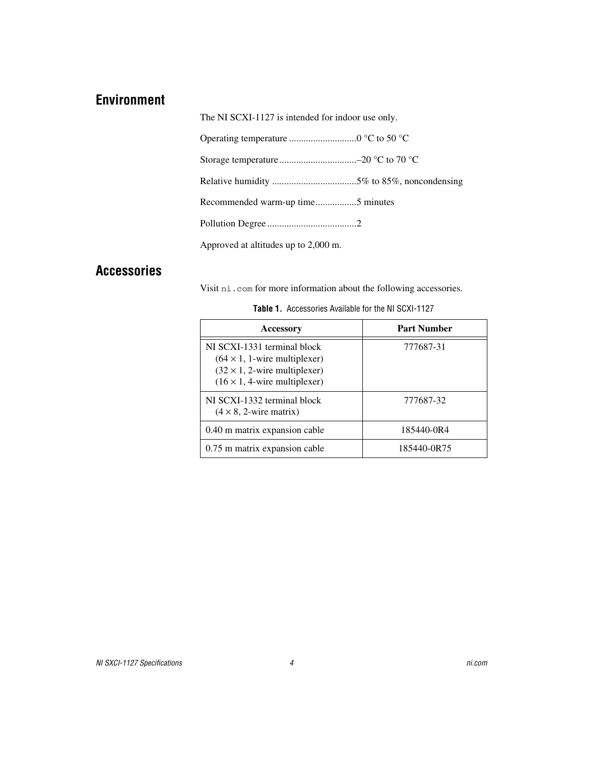### **Environment**

The NI SCXI-1127 is intended for indoor use only.

| Recommended warm-up time5 minutes    |
|--------------------------------------|
|                                      |
| Approved at altitudes up to 2,000 m. |

#### **Accessories**

Visit ni.com for more information about the following accessories.

| <b>Accessory</b>                                                                                                                                    | <b>Part Number</b> |
|-----------------------------------------------------------------------------------------------------------------------------------------------------|--------------------|
| NI SCXI-1331 terminal block<br>$(64 \times 1, 1$ -wire multiplexer)<br>$(32 \times 1, 2$ -wire multiplexer)<br>$(16 \times 1, 4$ -wire multiplexer) | 777687-31          |
| NI SCXI-1332 terminal block<br>$(4 \times 8, 2$ -wire matrix)                                                                                       | 777687-32          |
| 0.40 m matrix expansion cable                                                                                                                       | 185440-0R4         |
| 0.75 m matrix expansion cable                                                                                                                       | 185440-0R75        |

|  | Table 1. Accessories Available for the NI SCXI-1127 |  |  |  |
|--|-----------------------------------------------------|--|--|--|
|--|-----------------------------------------------------|--|--|--|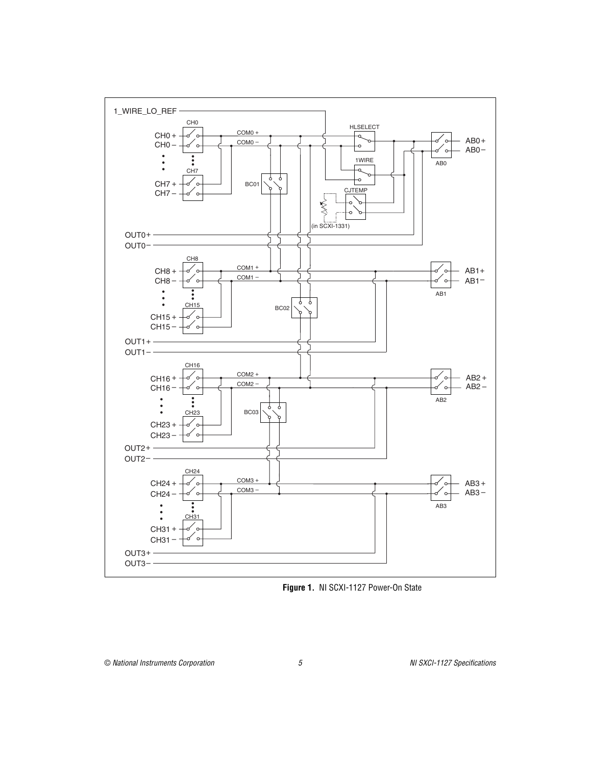

**Figure 1.** NI SCXI-1127 Power-On State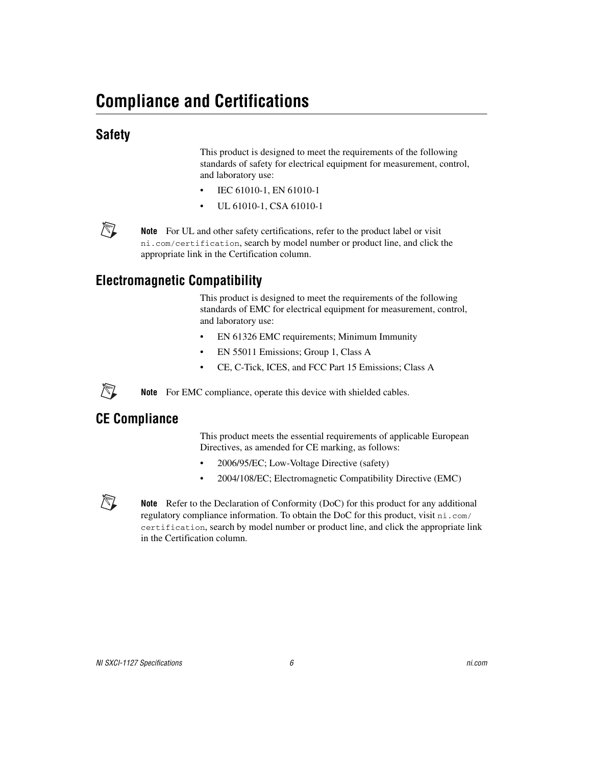## **Safety**

This product is designed to meet the requirements of the following standards of safety for electrical equipment for measurement, control, and laboratory use:

- IEC 61010-1, EN 61010-1
- UL 61010-1, CSA 61010-1



/\\]

 $\mathbb N$ 

**Note** For UL and other safety certifications, refer to the product label or visit ni.com/certification, search by model number or product line, and click the appropriate link in the Certification column.

## **Electromagnetic Compatibility**

This product is designed to meet the requirements of the following standards of EMC for electrical equipment for measurement, control, and laboratory use:

- EN 61326 EMC requirements; Minimum Immunity
- EN 55011 Emissions; Group 1, Class A
- CE, C-Tick, ICES, and FCC Part 15 Emissions; Class A

**Note** For EMC compliance, operate this device with shielded cables.

#### **CE Compliance**

This product meets the essential requirements of applicable European Directives, as amended for CE marking, as follows:

- 2006/95/EC; Low-Voltage Directive (safety)
- 2004/108/EC; Electromagnetic Compatibility Directive (EMC)

**Note** Refer to the Declaration of Conformity (DoC) for this product for any additional regulatory compliance information. To obtain the DoC for this product, visit ni.com/ certification, search by model number or product line, and click the appropriate link in the Certification column.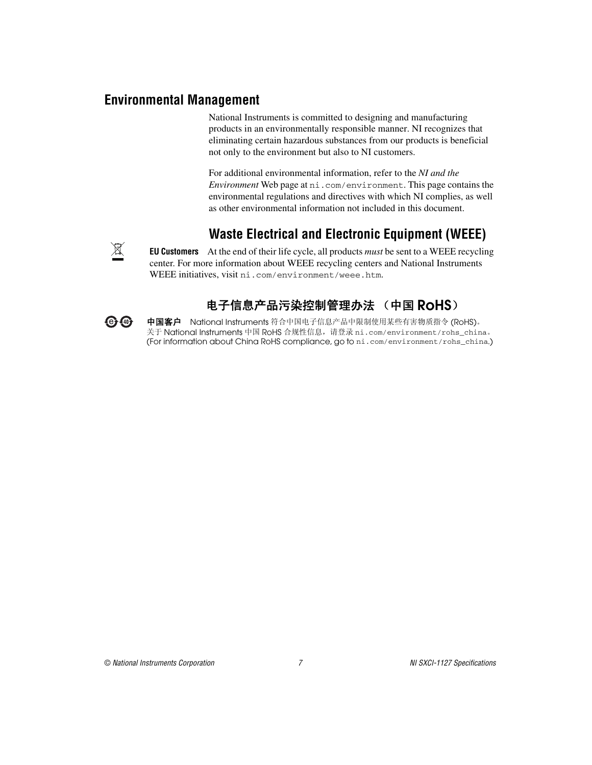#### **Environmental Management**

National Instruments is committed to designing and manufacturing products in an environmentally responsible manner. NI recognizes that eliminating certain hazardous substances from our products is beneficial not only to the environment but also to NI customers.

For additional environmental information, refer to the *NI and the Environment* Web page at ni.com/environment. This page contains the environmental regulations and directives with which NI complies, as well as other environmental information not included in this document.

## **Waste Electrical and Electronic Equipment (WEEE)**

**EU Customers** At the end of their life cycle, all products *must* be sent to a WEEE recycling center. For more information about WEEE recycling centers and National Instruments WEEE initiatives, visit ni.com/environment/weee.htm.

## 电子信息产品污染控制管理办法 (中国 RoHS)

中国客户 National Instruments 符合中国电子信息产品中限制使用某些有害物质指令 (RoHS)。<br>关于 National Instruments 中国 RoHS 合规性信息,请登录 ni .com/environment/rohs\_china。 关于 National Instruments 中国 RoHS 合规性信息,请登录 ni .com/environment/rohs\_china。<br>(For information about China RoHS compliance. ao to ni .com/environment/rohs\_china.) (For information about China RoHS compliance, go to ni.com/environment/rohs\_china.)



**er (40)**